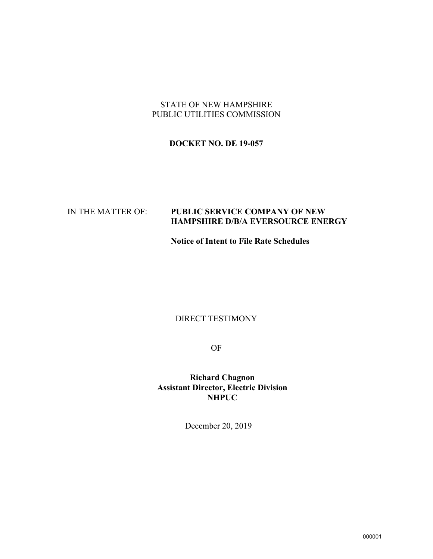### STATE OF NEW HAMPSHIRE PUBLIC UTILITIES COMMISSION

# **DOCKET NO. DE 19-057**

# IN THE MATTER OF: **PUBLIC SERVICE COMPANY OF NEW HAMPSHIRE D/B/A EVERSOURCE ENERGY**

**Notice of Intent to File Rate Schedules**

# DIRECT TESTIMONY

OF

**Richard Chagnon Assistant Director, Electric Division NHPUC**

December 20, 2019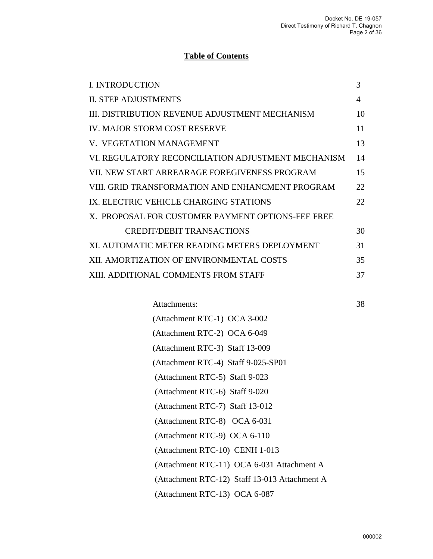# **Table of Contents**

| <b>I. INTRODUCTION</b>                             | 3  |
|----------------------------------------------------|----|
| <b>II. STEP ADJUSTMENTS</b>                        | 4  |
| III. DISTRIBUTION REVENUE ADJUSTMENT MECHANISM     | 10 |
| <b>IV. MAJOR STORM COST RESERVE</b>                | 11 |
| V. VEGETATION MANAGEMENT                           | 13 |
| VI. REGULATORY RECONCILIATION ADJUSTMENT MECHANISM | 14 |
| VII. NEW START ARREARAGE FOREGIVENESS PROGRAM      | 15 |
| VIII. GRID TRANSFORMATION AND ENHANCMENT PROGRAM   | 22 |
| IX. ELECTRIC VEHICLE CHARGING STATIONS             | 22 |
| X. PROPOSAL FOR CUSTOMER PAYMENT OPTIONS-FEE FREE  |    |
| <b>CREDIT/DEBIT TRANSACTIONS</b>                   | 30 |
| XI. AUTOMATIC METER READING METERS DEPLOYMENT      | 31 |
| XII. AMORTIZATION OF ENVIRONMENTAL COSTS           | 35 |
| XIII. ADDITIONAL COMMENTS FROM STAFF               | 37 |

| Attachments:                                  | 38 |
|-----------------------------------------------|----|
| (Attachment RTC-1) OCA 3-002                  |    |
| (Attachment RTC-2) OCA 6-049                  |    |
| (Attachment RTC-3) Staff 13-009               |    |
| (Attachment RTC-4) Staff 9-025-SP01           |    |
| (Attachment RTC-5) Staff 9-023                |    |
| (Attachment RTC-6) Staff 9-020                |    |
| (Attachment RTC-7) Staff 13-012               |    |
| (Attachment RTC-8) OCA 6-031                  |    |
| (Attachment RTC-9) OCA 6-110                  |    |
| (Attachment RTC-10) CENH 1-013                |    |
| (Attachment RTC-11) OCA 6-031 Attachment A    |    |
| (Attachment RTC-12) Staff 13-013 Attachment A |    |
| (Attachment RTC-13) OCA 6-087                 |    |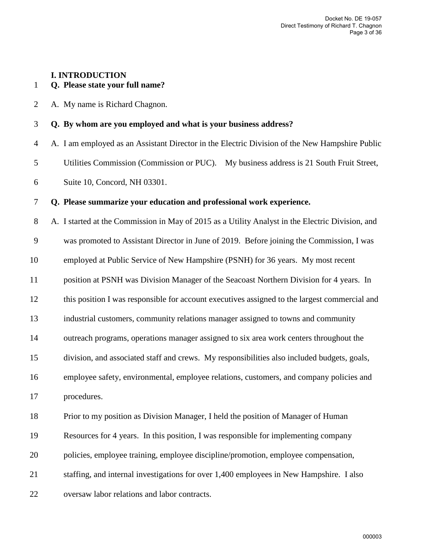# **I. INTRODUCTION**

# 1 **Q. Please state your full name?**

2 A. My name is Richard Chagnon.

#### 3 **Q. By whom are you employed and what is your business address?**

4 A. I am employed as an Assistant Director in the Electric Division of the New Hampshire Public 5 Utilities Commission (Commission or PUC). My business address is 21 South Fruit Street, 6 Suite 10, Concord, NH 03301.

#### 7 **Q. Please summarize your education and professional work experience.**

8 A. I started at the Commission in May of 2015 as a Utility Analyst in the Electric Division, and 9 was promoted to Assistant Director in June of 2019. Before joining the Commission, I was 10 employed at Public Service of New Hampshire (PSNH) for 36 years. My most recent 11 position at PSNH was Division Manager of the Seacoast Northern Division for 4 years. In 12 this position I was responsible for account executives assigned to the largest commercial and 13 industrial customers, community relations manager assigned to towns and community 14 outreach programs, operations manager assigned to six area work centers throughout the 15 division, and associated staff and crews. My responsibilities also included budgets, goals, 16 employee safety, environmental, employee relations, customers, and company policies and 17 procedures. 18 Prior to my position as Division Manager, I held the position of Manager of Human 19 Resources for 4 years. In this position, I was responsible for implementing company 20 policies, employee training, employee discipline/promotion, employee compensation, 21 staffing, and internal investigations for over 1,400 employees in New Hampshire. I also

22 oversaw labor relations and labor contracts.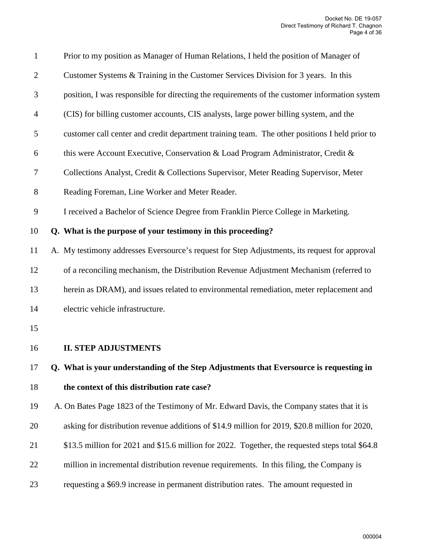| $\mathbf{1}$   | Prior to my position as Manager of Human Relations, I held the position of Manager of           |
|----------------|-------------------------------------------------------------------------------------------------|
| $\overline{2}$ | Customer Systems & Training in the Customer Services Division for 3 years. In this              |
| 3              | position, I was responsible for directing the requirements of the customer information system   |
| $\overline{4}$ | (CIS) for billing customer accounts, CIS analysts, large power billing system, and the          |
| 5              | customer call center and credit department training team. The other positions I held prior to   |
| 6              | this were Account Executive, Conservation & Load Program Administrator, Credit &                |
| 7              | Collections Analyst, Credit & Collections Supervisor, Meter Reading Supervisor, Meter           |
| $8\,$          | Reading Foreman, Line Worker and Meter Reader.                                                  |
| 9              | I received a Bachelor of Science Degree from Franklin Pierce College in Marketing.              |
| 10             | Q. What is the purpose of your testimony in this proceeding?                                    |
| 11             | A. My testimony addresses Eversource's request for Step Adjustments, its request for approval   |
| 12             | of a reconciling mechanism, the Distribution Revenue Adjustment Mechanism (referred to          |
| 13             | herein as DRAM), and issues related to environmental remediation, meter replacement and         |
| 14             | electric vehicle infrastructure.                                                                |
| 15             |                                                                                                 |
| 16             | <b>II. STEP ADJUSTMENTS</b>                                                                     |
| 17             | Q. What is your understanding of the Step Adjustments that Eversource is requesting in          |
| 18             | the context of this distribution rate case?                                                     |
| 19             | A. On Bates Page 1823 of the Testimony of Mr. Edward Davis, the Company states that it is       |
| 20             | asking for distribution revenue additions of \$14.9 million for 2019, \$20.8 million for 2020,  |
| 21             | \$13.5 million for 2021 and \$15.6 million for 2022. Together, the requested steps total \$64.8 |
| 22             | million in incremental distribution revenue requirements. In this filing, the Company is        |
| 23             | requesting a \$69.9 increase in permanent distribution rates. The amount requested in           |
|                |                                                                                                 |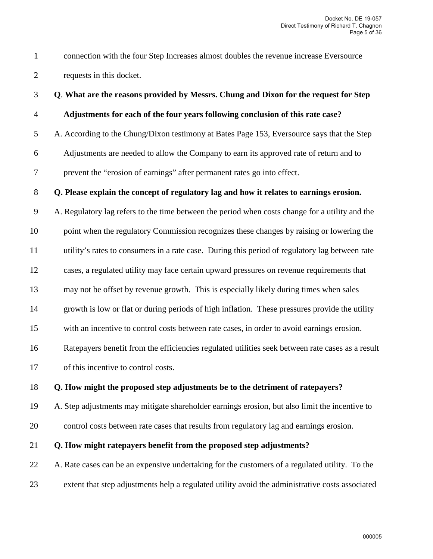1 connection with the four Step Increases almost doubles the revenue increase Eversource 2 requests in this docket.

#### 3 **Q**. **What are the reasons provided by Messrs. Chung and Dixon for the request for Step**

#### 4 **Adjustments for each of the four years following conclusion of this rate case?**

5 A. According to the Chung/Dixon testimony at Bates Page 153, Eversource says that the Step

6 Adjustments are needed to allow the Company to earn its approved rate of return and to

7 prevent the "erosion of earnings" after permanent rates go into effect.

#### 8 **Q. Please explain the concept of regulatory lag and how it relates to earnings erosion.**

9 A. Regulatory lag refers to the time between the period when costs change for a utility and the 10 point when the regulatory Commission recognizes these changes by raising or lowering the 11 utility's rates to consumers in a rate case. During this period of regulatory lag between rate 12 cases, a regulated utility may face certain upward pressures on revenue requirements that 13 may not be offset by revenue growth. This is especially likely during times when sales 14 growth is low or flat or during periods of high inflation. These pressures provide the utility 15 with an incentive to control costs between rate cases, in order to avoid earnings erosion. 16 Ratepayers benefit from the efficiencies regulated utilities seek between rate cases as a result

17 of this incentive to control costs.

#### 18 **Q. How might the proposed step adjustments be to the detriment of ratepayers?**

19 A. Step adjustments may mitigate shareholder earnings erosion, but also limit the incentive to

20 control costs between rate cases that results from regulatory lag and earnings erosion.

# 21 **Q. How might ratepayers benefit from the proposed step adjustments?**

22 A. Rate cases can be an expensive undertaking for the customers of a regulated utility. To the 23 extent that step adjustments help a regulated utility avoid the administrative costs associated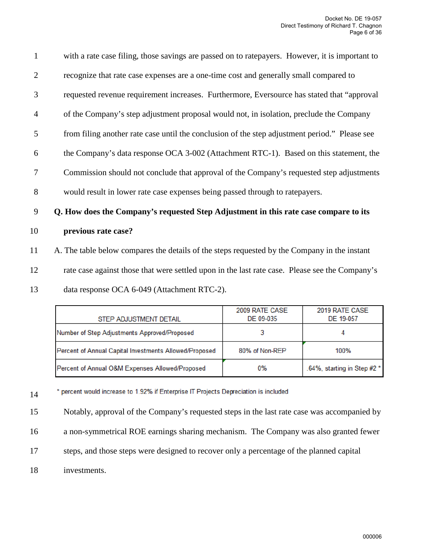| $\mathbf{1}$   | with a rate case filing, those savings are passed on to rate payers. However, it is important to |
|----------------|--------------------------------------------------------------------------------------------------|
| $\overline{2}$ | recognize that rate case expenses are a one-time cost and generally small compared to            |
| 3              | requested revenue requirement increases. Furthermore, Eversource has stated that "approval       |
| $\overline{4}$ | of the Company's step adjustment proposal would not, in isolation, preclude the Company          |
| 5              | from filing another rate case until the conclusion of the step adjustment period." Please see    |
| 6              | the Company's data response OCA 3-002 (Attachment RTC-1). Based on this statement, the           |
| 7              | Commission should not conclude that approval of the Company's requested step adjustments         |
| 8              | would result in lower rate case expenses being passed through to rate payers.                    |
| 9              | Q. How does the Company's requested Step Adjustment in this rate case compare to its             |
| 10             | previous rate case?                                                                              |
| 11             | A. The table below compares the details of the steps requested by the Company in the instant     |
| 12             | rate case against those that were settled upon in the last rate case. Please see the Company's   |
|                |                                                                                                  |

13 data response OCA 6-049 (Attachment RTC-2).

| STEP ADJUSTMENT DETAIL                                 | 2009 RATE CASE<br>DE 09-035 | 2019 RATE CASE<br>DE 19-057 |
|--------------------------------------------------------|-----------------------------|-----------------------------|
| Number of Step Adjustments Approved/Proposed           |                             |                             |
| Percent of Annual Capital Investments Allowed/Proposed | 80% of Non-REP              | 100%                        |
| Percent of Annual O&M Expenses Allowed/Proposed        | 0%                          | .64%, starting in Step #2 * |

\* percent would increase to 1.92% if Enterprise IT Projects Depreciation is included 14

15 Notably, approval of the Company's requested steps in the last rate case was accompanied by

16 a non-symmetrical ROE earnings sharing mechanism. The Company was also granted fewer

- 17 steps, and those steps were designed to recover only a percentage of the planned capital
- 18 investments.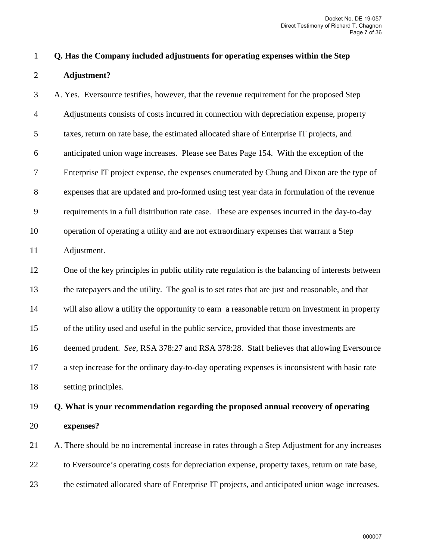| Q. Has the Company included adjustments for operating expenses within the Step |
|--------------------------------------------------------------------------------|
| Adjustment?                                                                    |

3 A. Yes. Eversource testifies, however, that the revenue requirement for the proposed Step 4 Adjustments consists of costs incurred in connection with depreciation expense, property 5 taxes, return on rate base, the estimated allocated share of Enterprise IT projects, and 6 anticipated union wage increases. Please see Bates Page 154. With the exception of the 7 Enterprise IT project expense, the expenses enumerated by Chung and Dixon are the type of 8 expenses that are updated and pro-formed using test year data in formulation of the revenue 9 requirements in a full distribution rate case. These are expenses incurred in the day-to-day 10 operation of operating a utility and are not extraordinary expenses that warrant a Step 11 Adjustment. 12 One of the key principles in public utility rate regulation is the balancing of interests between 13 the ratepayers and the utility. The goal is to set rates that are just and reasonable, and that 14 will also allow a utility the opportunity to earn a reasonable return on investment in property 15 of the utility used and useful in the public service, provided that those investments are 16 deemed prudent. *See*, RSA 378:27 and RSA 378:28. Staff believes that allowing Eversource 17 a step increase for the ordinary day-to-day operating expenses is inconsistent with basic rate

18 setting principles.

# 19 **Q. What is your recommendation regarding the proposed annual recovery of operating**  20 **expenses?**

21 A. There should be no incremental increase in rates through a Step Adjustment for any increases 22 to Eversource's operating costs for depreciation expense, property taxes, return on rate base, 23 the estimated allocated share of Enterprise IT projects, and anticipated union wage increases.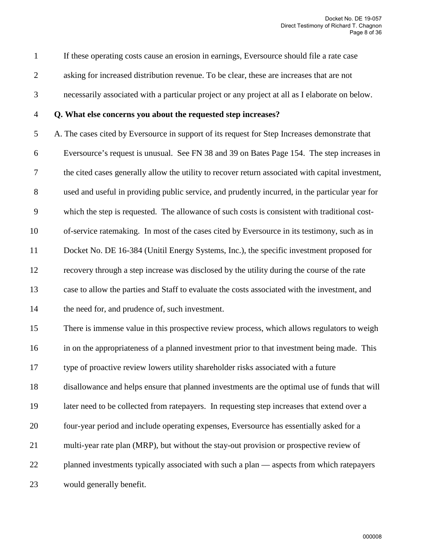1 If these operating costs cause an erosion in earnings, Eversource should file a rate case

- 2 asking for increased distribution revenue. To be clear, these are increases that are not
- 3 necessarily associated with a particular project or any project at all as I elaborate on below.

#### 4 **Q. What else concerns you about the requested step increases?**

5 A. The cases cited by Eversource in support of its request for Step Increases demonstrate that 6 Eversource's request is unusual. See FN 38 and 39 on Bates Page 154. The step increases in 7 the cited cases generally allow the utility to recover return associated with capital investment, 8 used and useful in providing public service, and prudently incurred, in the particular year for 9 which the step is requested. The allowance of such costs is consistent with traditional cost-10 of-service ratemaking. In most of the cases cited by Eversource in its testimony, such as in 11 Docket No. DE 16-384 (Unitil Energy Systems, Inc.), the specific investment proposed for 12 recovery through a step increase was disclosed by the utility during the course of the rate 13 case to allow the parties and Staff to evaluate the costs associated with the investment, and 14 the need for, and prudence of, such investment.

15 There is immense value in this prospective review process, which allows regulators to weigh 16 in on the appropriateness of a planned investment prior to that investment being made. This 17 type of proactive review lowers utility shareholder risks associated with a future 18 disallowance and helps ensure that planned investments are the optimal use of funds that will 19 later need to be collected from ratepayers. In requesting step increases that extend over a 20 four-year period and include operating expenses, Eversource has essentially asked for a 21 multi-year rate plan (MRP), but without the stay-out provision or prospective review of 22 planned investments typically associated with such a plan — aspects from which ratepayers 23 would generally benefit.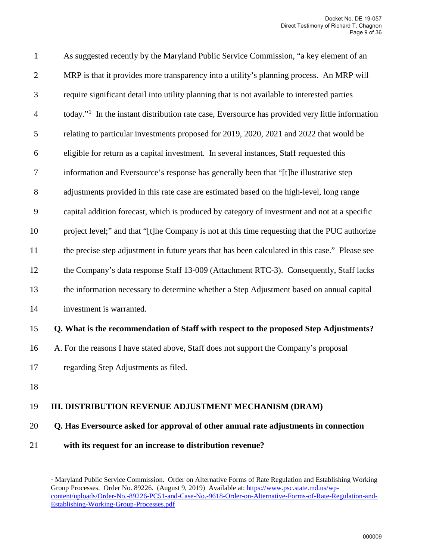| $\mathbf{1}$     | As suggested recently by the Maryland Public Service Commission, "a key element of an                       |
|------------------|-------------------------------------------------------------------------------------------------------------|
| $\overline{2}$   | MRP is that it provides more transparency into a utility's planning process. An MRP will                    |
| 3                | require significant detail into utility planning that is not available to interested parties                |
| $\overline{4}$   | today." <sup>1</sup> In the instant distribution rate case, Eversource has provided very little information |
| 5                | relating to particular investments proposed for 2019, 2020, 2021 and 2022 that would be                     |
| 6                | eligible for return as a capital investment. In several instances, Staff requested this                     |
| $\boldsymbol{7}$ | information and Eversource's response has generally been that "[t]he illustrative step                      |
| 8                | adjustments provided in this rate case are estimated based on the high-level, long range                    |
| 9                | capital addition forecast, which is produced by category of investment and not at a specific                |
| 10               | project level;" and that "[t]he Company is not at this time requesting that the PUC authorize               |
| 11               | the precise step adjustment in future years that has been calculated in this case." Please see              |
| 12               | the Company's data response Staff 13-009 (Attachment RTC-3). Consequently, Staff lacks                      |
| 13               | the information necessary to determine whether a Step Adjustment based on annual capital                    |
| 14               | investment is warranted.                                                                                    |
|                  |                                                                                                             |

# 15 **Q. What is the recommendation of Staff with respect to the proposed Step Adjustments?**

- 16 A. For the reasons I have stated above, Staff does not support the Company's proposal
- 17 regarding Step Adjustments as filed.
- 18

# 19 **III. DISTRIBUTION REVENUE ADJUSTMENT MECHANISM (DRAM)**

#### 20 **Q. Has Eversource asked for approval of other annual rate adjustments in connection**

<span id="page-8-0"></span>21 **with its request for an increase to distribution revenue?**

<sup>&</sup>lt;sup>1</sup> Maryland Public Service Commission. Order on Alternative Forms of Rate Regulation and Establishing Working Group Processes. Order No. 89226. (August 9, 2019) Available at: [https://www.psc.state.md.us/wp](https://www.psc.state.md.us/wp-content/uploads/Order-No.-89226-PC51-and-Case-No.-9618-Order-on-Alternative-Forms-of-Rate-Regulation-and-Establishing-Working-Group-Processes.pdf)[content/uploads/Order-No.-89226-PC51-and-Case-No.-9618-Order-on-Alternative-Forms-of-Rate-Regulation-and-](https://www.psc.state.md.us/wp-content/uploads/Order-No.-89226-PC51-and-Case-No.-9618-Order-on-Alternative-Forms-of-Rate-Regulation-and-Establishing-Working-Group-Processes.pdf)[Establishing-Working-Group-Processes.pdf](https://www.psc.state.md.us/wp-content/uploads/Order-No.-89226-PC51-and-Case-No.-9618-Order-on-Alternative-Forms-of-Rate-Regulation-and-Establishing-Working-Group-Processes.pdf)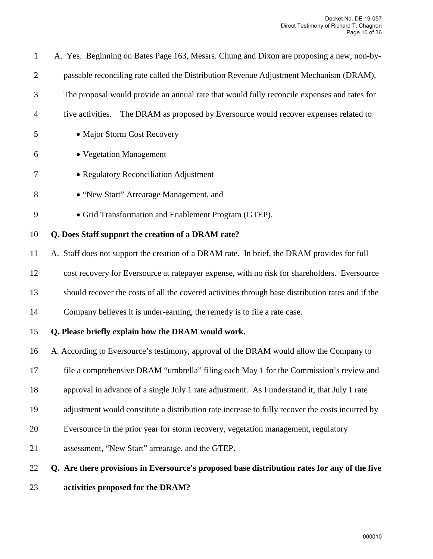| $\mathbf{1}$   | A. Yes. Beginning on Bates Page 163, Messrs. Chung and Dixon are proposing a new, non-by-         |
|----------------|---------------------------------------------------------------------------------------------------|
| $\overline{2}$ | passable reconciling rate called the Distribution Revenue Adjustment Mechanism (DRAM).            |
| $\mathfrak{Z}$ | The proposal would provide an annual rate that would fully reconcile expenses and rates for       |
| 4              | The DRAM as proposed by Eversource would recover expenses related to<br>five activities.          |
| 5              | • Major Storm Cost Recovery                                                                       |
| 6              | • Vegetation Management                                                                           |
| 7              | • Regulatory Reconciliation Adjustment                                                            |
| 8              | • "New Start" Arrearage Management, and                                                           |
| 9              | • Grid Transformation and Enablement Program (GTEP).                                              |
| 10             | Q. Does Staff support the creation of a DRAM rate?                                                |
| 11             | A. Staff does not support the creation of a DRAM rate. In brief, the DRAM provides for full       |
| 12             | cost recovery for Eversource at ratepayer expense, with no risk for shareholders. Eversource      |
| 13             | should recover the costs of all the covered activities through base distribution rates and if the |
| 14             | Company believes it is under-earning, the remedy is to file a rate case.                          |
| 15             | Q. Please briefly explain how the DRAM would work.                                                |
| 16             | A. According to Eversource's testimony, approval of the DRAM would allow the Company to           |
| 17             | file a comprehensive DRAM "umbrella" filing each May 1 for the Commission's review and            |
| 18             | approval in advance of a single July 1 rate adjustment. As I understand it, that July 1 rate      |
| 19             | adjustment would constitute a distribution rate increase to fully recover the costs incurred by   |
| 20             | Eversource in the prior year for storm recovery, vegetation management, regulatory                |
| 21             | assessment, "New Start" arrearage, and the GTEP.                                                  |
| 22             | Q. Are there provisions in Eversource's proposed base distribution rates for any of the five      |

23 **activities proposed for the DRAM?**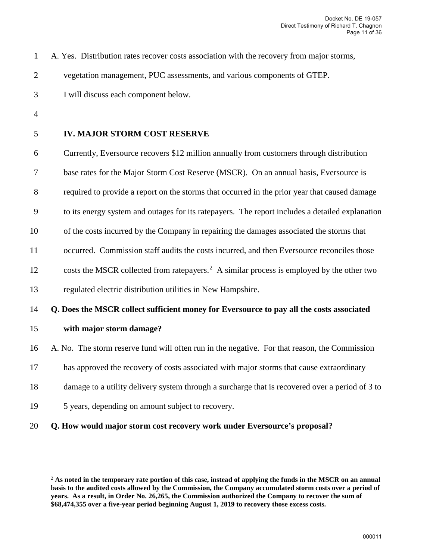1 A. Yes. Distribution rates recover costs association with the recovery from major storms,

2 vegetation management, PUC assessments, and various components of GTEP.

3 I will discuss each component below.

4

#### 5 **IV. MAJOR STORM COST RESERVE**

6 Currently, Eversource recovers \$12 million annually from customers through distribution

7 base rates for the Major Storm Cost Reserve (MSCR). On an annual basis, Eversource is

8 required to provide a report on the storms that occurred in the prior year that caused damage

9 to its energy system and outages for its ratepayers. The report includes a detailed explanation

10 of the costs incurred by the Company in repairing the damages associated the storms that

11 occurred. Commission staff audits the costs incurred, and then Eversource reconciles those

1[2](#page-10-0) costs the MSCR collected from ratepayers.<sup>2</sup> A similar process is employed by the other two

13 regulated electric distribution utilities in New Hampshire.

#### 14 **Q. Does the MSCR collect sufficient money for Eversource to pay all the costs associated**

- 15 **with major storm damage?**
- 16 A. No. The storm reserve fund will often run in the negative. For that reason, the Commission
- 17 has approved the recovery of costs associated with major storms that cause extraordinary
- 18 damage to a utility delivery system through a surcharge that is recovered over a period of 3 to
- 19 5 years, depending on amount subject to recovery.
- 20 **Q. How would major storm cost recovery work under Eversource's proposal?**

<span id="page-10-0"></span><sup>2</sup> **As noted in the temporary rate portion of this case, instead of applying the funds in the MSCR on an annual basis to the audited costs allowed by the Commission, the Company accumulated storm costs over a period of years. As a result, in Order No. 26,265, the Commission authorized the Company to recover the sum of \$68,474,355 over a five-year period beginning August 1, 2019 to recovery those excess costs.**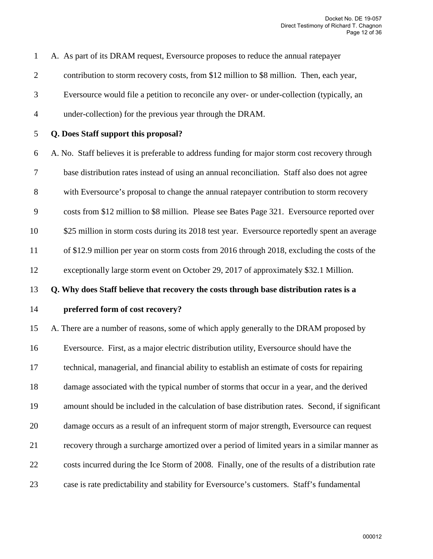1 A. As part of its DRAM request, Eversource proposes to reduce the annual ratepayer 2 contribution to storm recovery costs, from \$12 million to \$8 million. Then, each year, 3 Eversource would file a petition to reconcile any over- or under-collection (typically, an 4 under-collection) for the previous year through the DRAM. 5 **Q. Does Staff support this proposal?**  6 A. No. Staff believes it is preferable to address funding for major storm cost recovery through 7 base distribution rates instead of using an annual reconciliation. Staff also does not agree 8 with Eversource's proposal to change the annual ratepayer contribution to storm recovery 9 costs from \$12 million to \$8 million. Please see Bates Page 321. Eversource reported over 10 \$25 million in storm costs during its 2018 test year. Eversource reportedly spent an average 11 of \$12.9 million per year on storm costs from 2016 through 2018, excluding the costs of the 12 exceptionally large storm event on October 29, 2017 of approximately \$32.1 Million. 13 **Q. Why does Staff believe that recovery the costs through base distribution rates is a**  14 **preferred form of cost recovery?** 15 A. There are a number of reasons, some of which apply generally to the DRAM proposed by 16 Eversource. First, as a major electric distribution utility, Eversource should have the 17 technical, managerial, and financial ability to establish an estimate of costs for repairing 18 damage associated with the typical number of storms that occur in a year, and the derived 19 amount should be included in the calculation of base distribution rates. Second, if significant 20 damage occurs as a result of an infrequent storm of major strength, Eversource can request 21 recovery through a surcharge amortized over a period of limited years in a similar manner as 22 costs incurred during the Ice Storm of 2008. Finally, one of the results of a distribution rate

23 case is rate predictability and stability for Eversource's customers. Staff's fundamental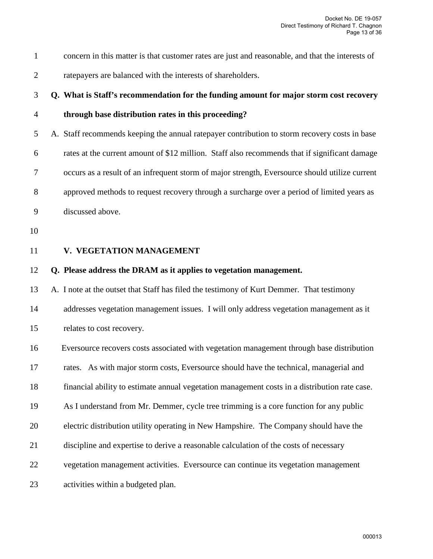| concern in this matter is that customer rates are just and reasonable, and that the interests of |
|--------------------------------------------------------------------------------------------------|
| rate payers are balanced with the interests of shareholders.                                     |

# 3 **Q. What is Staff's recommendation for the funding amount for major storm cost recovery**

# 4 **through base distribution rates in this proceeding?**

5 A. Staff recommends keeping the annual ratepayer contribution to storm recovery costs in base 6 rates at the current amount of \$12 million. Staff also recommends that if significant damage 7 occurs as a result of an infrequent storm of major strength, Eversource should utilize current 8 approved methods to request recovery through a surcharge over a period of limited years as 9 discussed above.

- 10
- 
- 

# 11 **V. VEGETATION MANAGEMENT**

#### 12 **Q. Please address the DRAM as it applies to vegetation management.**

13 A. I note at the outset that Staff has filed the testimony of Kurt Demmer. That testimony 14 addresses vegetation management issues. I will only address vegetation management as it 15 relates to cost recovery.

16 Eversource recovers costs associated with vegetation management through base distribution 17 rates. As with major storm costs, Eversource should have the technical, managerial and 18 financial ability to estimate annual vegetation management costs in a distribution rate case. 19 As I understand from Mr. Demmer, cycle tree trimming is a core function for any public 20 electric distribution utility operating in New Hampshire. The Company should have the 21 discipline and expertise to derive a reasonable calculation of the costs of necessary 22 vegetation management activities. Eversource can continue its vegetation management 23 activities within a budgeted plan.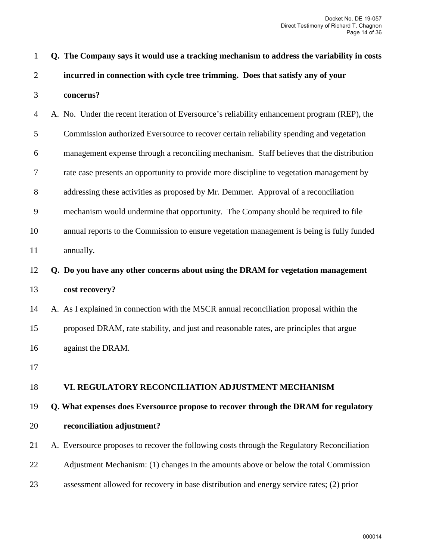| $\mathbf{1}$ | Q. The Company says it would use a tracking mechanism to address the variability in costs    |
|--------------|----------------------------------------------------------------------------------------------|
| $\mathbf{2}$ | incurred in connection with cycle tree trimming. Does that satisfy any of your               |
| 3            | concerns?                                                                                    |
| 4            | A. No. Under the recent iteration of Eversource's reliability enhancement program (REP), the |
| 5            | Commission authorized Eversource to recover certain reliability spending and vegetation      |
| 6            | management expense through a reconciling mechanism. Staff believes that the distribution     |
| $\tau$       | rate case presents an opportunity to provide more discipline to vegetation management by     |
| 8            | addressing these activities as proposed by Mr. Demmer. Approval of a reconciliation          |
| 9            | mechanism would undermine that opportunity. The Company should be required to file           |
| 10           | annual reports to the Commission to ensure vegetation management is being is fully funded    |
| 11           | annually.                                                                                    |
| 12           | Q. Do you have any other concerns about using the DRAM for vegetation management             |
| 13           | cost recovery?                                                                               |
| 14           | A. As I explained in connection with the MSCR annual reconciliation proposal within the      |
| 15           | proposed DRAM, rate stability, and just and reasonable rates, are principles that argue      |
| 16           | against the DRAM.                                                                            |
| 17           |                                                                                              |
| 18           | VI. REGULATORY RECONCILIATION ADJUSTMENT MECHANISM                                           |
| 19           | Q. What expenses does Eversource propose to recover through the DRAM for regulatory          |
| 20           | reconciliation adjustment?                                                                   |
| 21           | A. Eversource proposes to recover the following costs through the Regulatory Reconciliation  |
| 22           | Adjustment Mechanism: (1) changes in the amounts above or below the total Commission         |
| 23           | assessment allowed for recovery in base distribution and energy service rates; (2) prior     |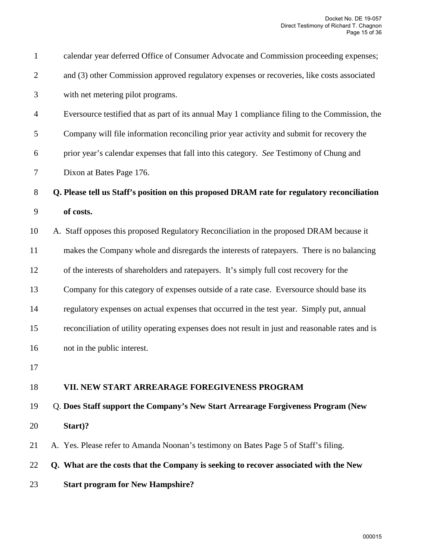| $\mathbf{1}$   | calendar year deferred Office of Consumer Advocate and Commission proceeding expenses;           |
|----------------|--------------------------------------------------------------------------------------------------|
| $\overline{2}$ | and (3) other Commission approved regulatory expenses or recoveries, like costs associated       |
| 3              | with net metering pilot programs.                                                                |
| $\overline{4}$ | Eversource testified that as part of its annual May 1 compliance filing to the Commission, the   |
| 5              | Company will file information reconciling prior year activity and submit for recovery the        |
| 6              | prior year's calendar expenses that fall into this category. See Testimony of Chung and          |
| $\tau$         | Dixon at Bates Page 176.                                                                         |
| 8              | Q. Please tell us Staff's position on this proposed DRAM rate for regulatory reconciliation      |
| 9              | of costs.                                                                                        |
| 10             | A. Staff opposes this proposed Regulatory Reconciliation in the proposed DRAM because it         |
| 11             | makes the Company whole and disregards the interests of ratepayers. There is no balancing        |
| 12             | of the interests of shareholders and ratepayers. It's simply full cost recovery for the          |
| 13             | Company for this category of expenses outside of a rate case. Eversource should base its         |
| 14             | regulatory expenses on actual expenses that occurred in the test year. Simply put, annual        |
| 15             | reconciliation of utility operating expenses does not result in just and reasonable rates and is |
| 16             | not in the public interest.                                                                      |
| 17             |                                                                                                  |
| 18             | VII. NEW START ARREARAGE FOREGIVENESS PROGRAM                                                    |
| 19             | Q. Does Staff support the Company's New Start Arrearage Forgiveness Program (New                 |
| 20             | Start)?                                                                                          |
| 21             | A. Yes. Please refer to Amanda Noonan's testimony on Bates Page 5 of Staff's filing.             |
| 22             | Q. What are the costs that the Company is seeking to recover associated with the New             |
| 23             | <b>Start program for New Hampshire?</b>                                                          |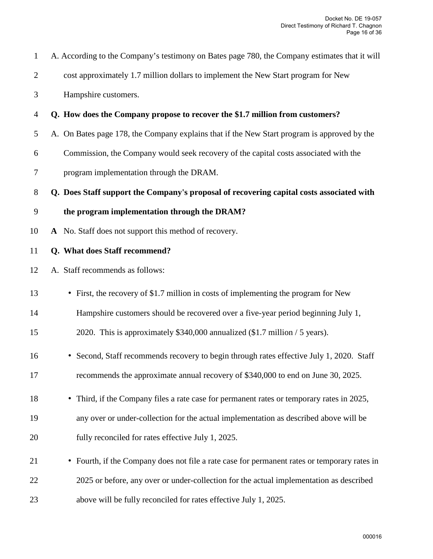| $\mathbf{1}$     | A. According to the Company's testimony on Bates page 780, the Company estimates that it will |
|------------------|-----------------------------------------------------------------------------------------------|
| $\overline{2}$   | cost approximately 1.7 million dollars to implement the New Start program for New             |
| 3                | Hampshire customers.                                                                          |
| $\overline{4}$   | Q. How does the Company propose to recover the \$1.7 million from customers?                  |
| 5                | A. On Bates page 178, the Company explains that if the New Start program is approved by the   |
| 6                | Commission, the Company would seek recovery of the capital costs associated with the          |
| $\tau$           | program implementation through the DRAM.                                                      |
| $8\,$            | Q. Does Staff support the Company's proposal of recovering capital costs associated with      |
| $\boldsymbol{9}$ | the program implementation through the DRAM?                                                  |
| 10               | A No. Staff does not support this method of recovery.                                         |
| 11               | Q. What does Staff recommend?                                                                 |
| 12               | A. Staff recommends as follows:                                                               |
| 13               | • First, the recovery of \$1.7 million in costs of implementing the program for New           |
| 14               | Hampshire customers should be recovered over a five-year period beginning July 1,             |
| 15               | 2020. This is approximately \$340,000 annualized (\$1.7 million / 5 years).                   |
| 16               | • Second, Staff recommends recovery to begin through rates effective July 1, 2020. Staff      |
| 17               | recommends the approximate annual recovery of \$340,000 to end on June 30, 2025.              |
| 18               | • Third, if the Company files a rate case for permanent rates or temporary rates in 2025,     |
| 19               | any over or under-collection for the actual implementation as described above will be         |
| 20               | fully reconciled for rates effective July 1, 2025.                                            |
|                  |                                                                                               |
| 21               | • Fourth, if the Company does not file a rate case for permanent rates or temporary rates in  |
| 22               | 2025 or before, any over or under-collection for the actual implementation as described       |
| 23               | above will be fully reconciled for rates effective July 1, 2025.                              |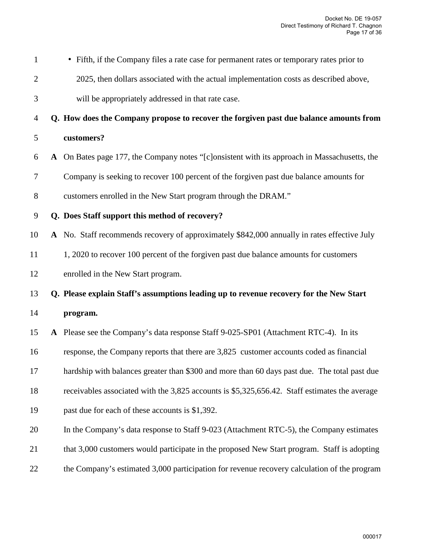| $\mathbf{1}$   | • Fifth, if the Company files a rate case for permanent rates or temporary rates prior to     |
|----------------|-----------------------------------------------------------------------------------------------|
| $\overline{2}$ | 2025, then dollars associated with the actual implementation costs as described above,        |
| 3              | will be appropriately addressed in that rate case.                                            |
| $\overline{4}$ | Q. How does the Company propose to recover the forgiven past due balance amounts from         |
| 5              | customers?                                                                                    |
| 6              | A On Bates page 177, the Company notes "[c]onsistent with its approach in Massachusetts, the  |
| 7              | Company is seeking to recover 100 percent of the forgiven past due balance amounts for        |
| $8\,$          | customers enrolled in the New Start program through the DRAM."                                |
| $\mathbf{9}$   | Q. Does Staff support this method of recovery?                                                |
| 10             | A No. Staff recommends recovery of approximately \$842,000 annually in rates effective July   |
| 11             | 1, 2020 to recover 100 percent of the forgiven past due balance amounts for customers         |
| 12             | enrolled in the New Start program.                                                            |
| 13             | Q. Please explain Staff's assumptions leading up to revenue recovery for the New Start        |
| 14             | program.                                                                                      |
| 15             | A Please see the Company's data response Staff 9-025-SP01 (Attachment RTC-4). In its          |
| 16             | response, the Company reports that there are 3,825 customer accounts coded as financial       |
| 17             | hardship with balances greater than \$300 and more than 60 days past due. The total past due  |
| 18             | receivables associated with the 3,825 accounts is \$5,325,656.42. Staff estimates the average |
| 19             | past due for each of these accounts is \$1,392.                                               |
| 20             | In the Company's data response to Staff 9-023 (Attachment RTC-5), the Company estimates       |
| 21             | that 3,000 customers would participate in the proposed New Start program. Staff is adopting   |
| 22             | the Company's estimated 3,000 participation for revenue recovery calculation of the program   |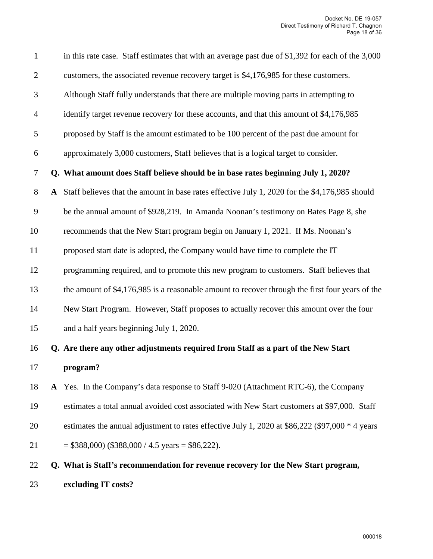| $\mathbf{1}$   |           | in this rate case. Staff estimates that with an average past due of \$1,392 for each of the 3,000 |
|----------------|-----------|---------------------------------------------------------------------------------------------------|
| $\overline{2}$ |           | customers, the associated revenue recovery target is \$4,176,985 for these customers.             |
| $\mathfrak{Z}$ |           | Although Staff fully understands that there are multiple moving parts in attempting to            |
| $\overline{4}$ |           | identify target revenue recovery for these accounts, and that this amount of \$4,176,985          |
| $\mathfrak{S}$ |           | proposed by Staff is the amount estimated to be 100 percent of the past due amount for            |
| 6              |           | approximately 3,000 customers, Staff believes that is a logical target to consider.               |
| $\tau$         |           | Q. What amount does Staff believe should be in base rates beginning July 1, 2020?                 |
| $8\,$          | ${\bf A}$ | Staff believes that the amount in base rates effective July 1, 2020 for the \$4,176,985 should    |
| 9              |           | be the annual amount of \$928,219. In Amanda Noonan's testimony on Bates Page 8, she              |
| 10             |           | recommends that the New Start program begin on January 1, 2021. If Ms. Noonan's                   |
| 11             |           | proposed start date is adopted, the Company would have time to complete the IT                    |
| 12             |           | programming required, and to promote this new program to customers. Staff believes that           |
| 13             |           | the amount of \$4,176,985 is a reasonable amount to recover through the first four years of the   |
| 14             |           | New Start Program. However, Staff proposes to actually recover this amount over the four          |
| 15             |           | and a half years beginning July 1, 2020.                                                          |
| 16             |           | Q. Are there any other adjustments required from Staff as a part of the New Start                 |
| 17             |           | program?                                                                                          |
| 18             |           | A Yes. In the Company's data response to Staff 9-020 (Attachment RTC-6), the Company              |
| 19             |           | estimates a total annual avoided cost associated with New Start customers at \$97,000. Staff      |
| 20             |           | estimates the annual adjustment to rates effective July 1, 2020 at \$86,222 (\$97,000 * 4 years   |
| 21             |           | $= $388,000$ (\$388,000 / 4.5 years = \$86,222).                                                  |
| 22             |           | Q. What is Staff's recommendation for revenue recovery for the New Start program,                 |
| 23             |           | excluding IT costs?                                                                               |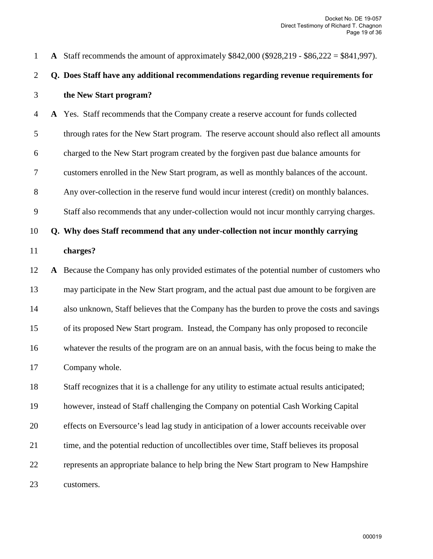| $\mathbf{1}$   | A Staff recommends the amount of approximately \$842,000 (\$928,219 - \$86,222 = \$841,997).    |
|----------------|-------------------------------------------------------------------------------------------------|
| $\overline{2}$ | Q. Does Staff have any additional recommendations regarding revenue requirements for            |
| 3              | the New Start program?                                                                          |
| $\overline{4}$ | A Yes. Staff recommends that the Company create a reserve account for funds collected           |
| 5              | through rates for the New Start program. The reserve account should also reflect all amounts    |
| 6              | charged to the New Start program created by the forgiven past due balance amounts for           |
| 7              | customers enrolled in the New Start program, as well as monthly balances of the account.        |
| $8\,$          | Any over-collection in the reserve fund would incur interest (credit) on monthly balances.      |
| 9              | Staff also recommends that any under-collection would not incur monthly carrying charges.       |
| 10             | Q. Why does Staff recommend that any under-collection not incur monthly carrying                |
| 11             | charges?                                                                                        |
| 12             | A Because the Company has only provided estimates of the potential number of customers who      |
| 13             | may participate in the New Start program, and the actual past due amount to be forgiven are     |
| 14             | also unknown, Staff believes that the Company has the burden to prove the costs and savings     |
| 15             | of its proposed New Start program. Instead, the Company has only proposed to reconcile          |
| 16             | whatever the results of the program are on an annual basis, with the focus being to make the    |
| 17             | Company whole.                                                                                  |
| 18             | Staff recognizes that it is a challenge for any utility to estimate actual results anticipated; |
| 19             | however, instead of Staff challenging the Company on potential Cash Working Capital             |
| 20             | effects on Eversource's lead lag study in anticipation of a lower accounts receivable over      |
| 21             | time, and the potential reduction of uncollectibles over time, Staff believes its proposal      |
| 22             | represents an appropriate balance to help bring the New Start program to New Hampshire          |
| 23             | customers.                                                                                      |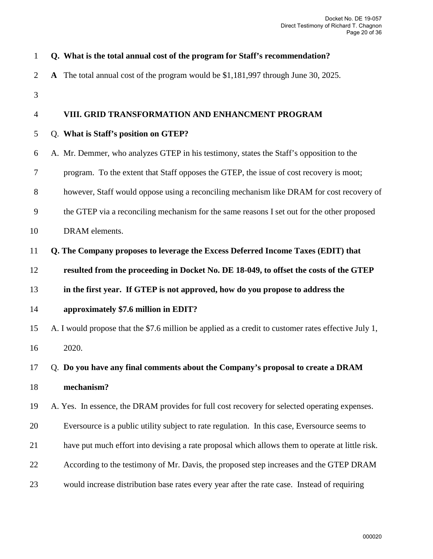| $\mathbf{1}$   | Q. What is the total annual cost of the program for Staff's recommendation?                          |
|----------------|------------------------------------------------------------------------------------------------------|
| $\overline{2}$ | A The total annual cost of the program would be \$1,181,997 through June 30, 2025.                   |
| 3              |                                                                                                      |
| 4              | VIII. GRID TRANSFORMATION AND ENHANCMENT PROGRAM                                                     |
| 5              | Q. What is Staff's position on GTEP?                                                                 |
| 6              | A. Mr. Demmer, who analyzes GTEP in his testimony, states the Staff's opposition to the              |
| 7              | program. To the extent that Staff opposes the GTEP, the issue of cost recovery is moot;              |
| $8\,$          | however, Staff would oppose using a reconciling mechanism like DRAM for cost recovery of             |
| 9              | the GTEP via a reconciling mechanism for the same reasons I set out for the other proposed           |
| 10             | DRAM elements.                                                                                       |
| 11             | Q. The Company proposes to leverage the Excess Deferred Income Taxes (EDIT) that                     |
| 12             | resulted from the proceeding in Docket No. DE 18-049, to offset the costs of the GTEP                |
| 13             | in the first year. If GTEP is not approved, how do you propose to address the                        |
| 14             | approximately \$7.6 million in EDIT?                                                                 |
| 15             | A. I would propose that the \$7.6 million be applied as a credit to customer rates effective July 1, |
| 16             | 2020.                                                                                                |
| 17             | Q. Do you have any final comments about the Company's proposal to create a DRAM                      |
| 18             | mechanism?                                                                                           |
| 19             | A. Yes. In essence, the DRAM provides for full cost recovery for selected operating expenses.        |
| 20             | Eversource is a public utility subject to rate regulation. In this case, Eversource seems to         |
| 21             | have put much effort into devising a rate proposal which allows them to operate at little risk.      |
| 22             | According to the testimony of Mr. Davis, the proposed step increases and the GTEP DRAM               |
| 23             | would increase distribution base rates every year after the rate case. Instead of requiring          |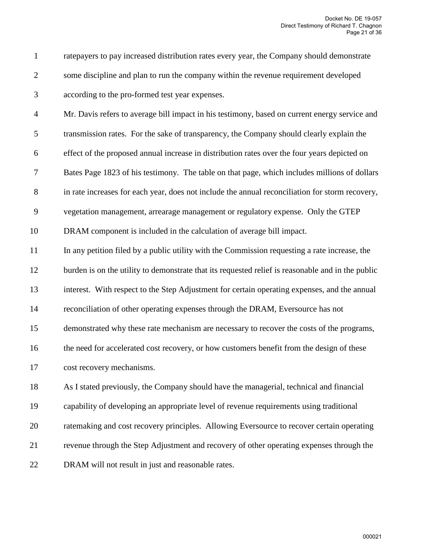1 ratepayers to pay increased distribution rates every year, the Company should demonstrate 2 some discipline and plan to run the company within the revenue requirement developed 3 according to the pro-formed test year expenses.

4 Mr. Davis refers to average bill impact in his testimony, based on current energy service and 5 transmission rates. For the sake of transparency, the Company should clearly explain the 6 effect of the proposed annual increase in distribution rates over the four years depicted on 7 Bates Page 1823 of his testimony. The table on that page, which includes millions of dollars 8 in rate increases for each year, does not include the annual reconciliation for storm recovery,

9 vegetation management, arrearage management or regulatory expense. Only the GTEP

10 DRAM component is included in the calculation of average bill impact.

11 In any petition filed by a public utility with the Commission requesting a rate increase, the

12 burden is on the utility to demonstrate that its requested relief is reasonable and in the public

13 interest. With respect to the Step Adjustment for certain operating expenses, and the annual

14 reconciliation of other operating expenses through the DRAM, Eversource has not

15 demonstrated why these rate mechanism are necessary to recover the costs of the programs,

16 the need for accelerated cost recovery, or how customers benefit from the design of these

17 cost recovery mechanisms.

18 As I stated previously, the Company should have the managerial, technical and financial 19 capability of developing an appropriate level of revenue requirements using traditional 20 ratemaking and cost recovery principles. Allowing Eversource to recover certain operating 21 revenue through the Step Adjustment and recovery of other operating expenses through the 22 DRAM will not result in just and reasonable rates.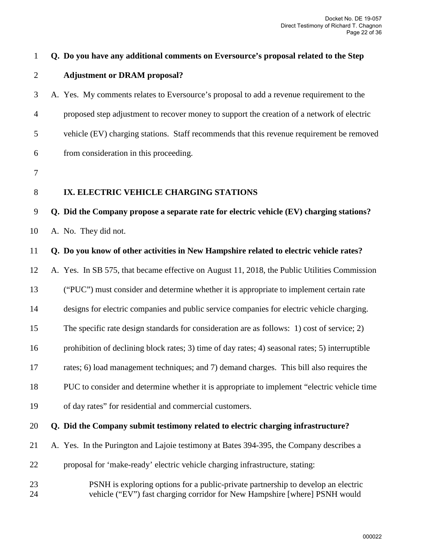| $\mathbf 1$    | Q. Do you have any additional comments on Eversource's proposal related to the Step                                                                             |
|----------------|-----------------------------------------------------------------------------------------------------------------------------------------------------------------|
| $\overline{2}$ | <b>Adjustment or DRAM proposal?</b>                                                                                                                             |
| 3              | A. Yes. My comments relates to Eversource's proposal to add a revenue requirement to the                                                                        |
| $\overline{4}$ | proposed step adjustment to recover money to support the creation of a network of electric                                                                      |
| 5              | vehicle (EV) charging stations. Staff recommends that this revenue requirement be removed                                                                       |
| 6              | from consideration in this proceeding.                                                                                                                          |
| $\tau$         |                                                                                                                                                                 |
| 8              | IX. ELECTRIC VEHICLE CHARGING STATIONS                                                                                                                          |
| 9              | Q. Did the Company propose a separate rate for electric vehicle (EV) charging stations?                                                                         |
| 10             | A. No. They did not.                                                                                                                                            |
| 11             | Q. Do you know of other activities in New Hampshire related to electric vehicle rates?                                                                          |
| 12             | A. Yes. In SB 575, that became effective on August 11, 2018, the Public Utilities Commission                                                                    |
| 13             | ("PUC") must consider and determine whether it is appropriate to implement certain rate                                                                         |
| 14             | designs for electric companies and public service companies for electric vehicle charging.                                                                      |
| 15             | The specific rate design standards for consideration are as follows: 1) cost of service; 2)                                                                     |
| 16             | prohibition of declining block rates; 3) time of day rates; 4) seasonal rates; 5) interruptible                                                                 |
| 17             | rates; 6) load management techniques; and 7) demand charges. This bill also requires the                                                                        |
| 18             | PUC to consider and determine whether it is appropriate to implement "electric vehicle time"                                                                    |
| 19             | of day rates" for residential and commercial customers.                                                                                                         |
| 20             | Q. Did the Company submit testimony related to electric charging infrastructure?                                                                                |
| 21             | A. Yes. In the Purington and Lajoie testimony at Bates 394-395, the Company describes a                                                                         |
| 22             | proposal for 'make-ready' electric vehicle charging infrastructure, stating:                                                                                    |
| 23<br>24       | PSNH is exploring options for a public-private partnership to develop an electric<br>vehicle ("EV") fast charging corridor for New Hampshire [where] PSNH would |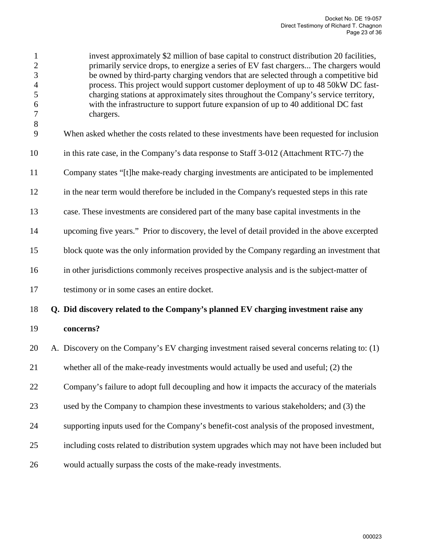| $\mathbf{1}$<br>$\overline{c}$<br>$\overline{3}$<br>$\overline{4}$<br>5<br>$\boldsymbol{6}$<br>$\boldsymbol{7}$<br>$\,8$<br>9 | invest approximately \$2 million of base capital to construct distribution 20 facilities,<br>primarily service drops, to energize a series of EV fast chargers The chargers would<br>be owned by third-party charging vendors that are selected through a competitive bid<br>process. This project would support customer deployment of up to 48 50kW DC fast-<br>charging stations at approximately sites throughout the Company's service territory,<br>with the infrastructure to support future expansion of up to 40 additional DC fast<br>chargers.<br>When asked whether the costs related to these investments have been requested for inclusion |
|-------------------------------------------------------------------------------------------------------------------------------|----------------------------------------------------------------------------------------------------------------------------------------------------------------------------------------------------------------------------------------------------------------------------------------------------------------------------------------------------------------------------------------------------------------------------------------------------------------------------------------------------------------------------------------------------------------------------------------------------------------------------------------------------------|
| 10                                                                                                                            | in this rate case, in the Company's data response to Staff 3-012 (Attachment RTC-7) the                                                                                                                                                                                                                                                                                                                                                                                                                                                                                                                                                                  |
| 11                                                                                                                            | Company states "[t]he make-ready charging investments are anticipated to be implemented                                                                                                                                                                                                                                                                                                                                                                                                                                                                                                                                                                  |
| 12                                                                                                                            | in the near term would therefore be included in the Company's requested steps in this rate                                                                                                                                                                                                                                                                                                                                                                                                                                                                                                                                                               |
| 13                                                                                                                            | case. These investments are considered part of the many base capital investments in the                                                                                                                                                                                                                                                                                                                                                                                                                                                                                                                                                                  |
| 14                                                                                                                            | upcoming five years." Prior to discovery, the level of detail provided in the above excerpted                                                                                                                                                                                                                                                                                                                                                                                                                                                                                                                                                            |
| 15                                                                                                                            | block quote was the only information provided by the Company regarding an investment that                                                                                                                                                                                                                                                                                                                                                                                                                                                                                                                                                                |
| 16                                                                                                                            | in other jurisdictions commonly receives prospective analysis and is the subject-matter of                                                                                                                                                                                                                                                                                                                                                                                                                                                                                                                                                               |
| 17                                                                                                                            | testimony or in some cases an entire docket.                                                                                                                                                                                                                                                                                                                                                                                                                                                                                                                                                                                                             |
| 18                                                                                                                            | Q. Did discovery related to the Company's planned EV charging investment raise any                                                                                                                                                                                                                                                                                                                                                                                                                                                                                                                                                                       |
| 19                                                                                                                            | concerns?                                                                                                                                                                                                                                                                                                                                                                                                                                                                                                                                                                                                                                                |
| 20                                                                                                                            | A. Discovery on the Company's EV charging investment raised several concerns relating to: (1)                                                                                                                                                                                                                                                                                                                                                                                                                                                                                                                                                            |
| 21                                                                                                                            | whether all of the make-ready investments would actually be used and useful; (2) the                                                                                                                                                                                                                                                                                                                                                                                                                                                                                                                                                                     |
| 22                                                                                                                            | Company's failure to adopt full decoupling and how it impacts the accuracy of the materials                                                                                                                                                                                                                                                                                                                                                                                                                                                                                                                                                              |
| 23                                                                                                                            | used by the Company to champion these investments to various stakeholders; and (3) the                                                                                                                                                                                                                                                                                                                                                                                                                                                                                                                                                                   |
| 24                                                                                                                            | supporting inputs used for the Company's benefit-cost analysis of the proposed investment,                                                                                                                                                                                                                                                                                                                                                                                                                                                                                                                                                               |
| 25                                                                                                                            | including costs related to distribution system upgrades which may not have been included but                                                                                                                                                                                                                                                                                                                                                                                                                                                                                                                                                             |
| 26                                                                                                                            | would actually surpass the costs of the make-ready investments.                                                                                                                                                                                                                                                                                                                                                                                                                                                                                                                                                                                          |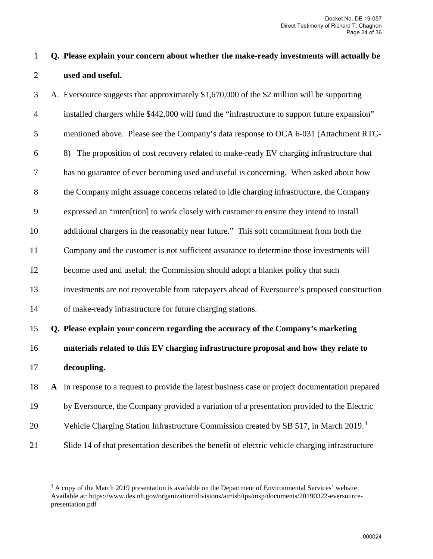# 1 **Q. Please explain your concern about whether the make-ready investments will actually be**  2 **used and useful.**

3 A. Eversource suggests that approximately \$1,670,000 of the \$2 million will be supporting 4 installed chargers while \$442,000 will fund the "infrastructure to support future expansion" 5 mentioned above. Please see the Company's data response to OCA 6-031 (Attachment RTC-6 8) The proposition of cost recovery related to make-ready EV charging infrastructure that 7 has no guarantee of ever becoming used and useful is concerning. When asked about how 8 the Company might assuage concerns related to idle charging infrastructure, the Company 9 expressed an "inten[tion] to work closely with customer to ensure they intend to install 10 additional chargers in the reasonably near future." This soft commitment from both the 11 Company and the customer is not sufficient assurance to determine those investments will 12 become used and useful; the Commission should adopt a blanket policy that such 13 investments are not recoverable from ratepayers ahead of Eversource's proposed construction 14 of make-ready infrastructure for future charging stations. 15 **Q. Please explain your concern regarding the accuracy of the Company's marketing**  16 **materials related to this EV charging infrastructure proposal and how they relate to** 

- 17 **decoupling.**
- 18 **A** In response to a request to provide the latest business case or project documentation prepared
- 19 by Eversource, the Company provided a variation of a presentation provided to the Electric
- 20 Vehicle Charging Station Infrastructure Commission created by SB 517, in March 2019.<sup>[3](#page-23-0)</sup>
- 21 Slide 14 of that presentation describes the benefit of electric vehicle charging infrastructure

<span id="page-23-0"></span><sup>&</sup>lt;sup>3</sup> A copy of the March 2019 presentation is available on the Department of Environmental Services' website. Available at: https://www.des.nh.gov/organization/divisions/air/tsb/tps/msp/documents/20190322-eversourcepresentation.pdf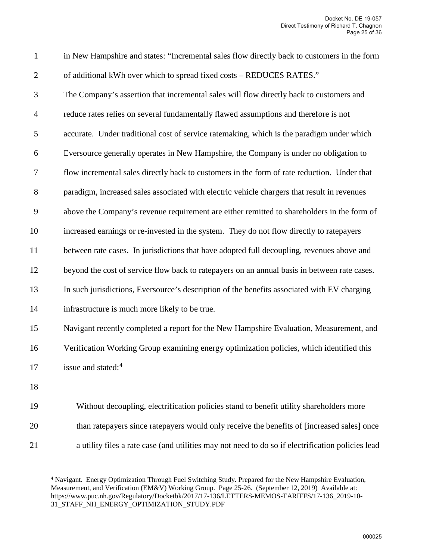1 in New Hampshire and states: "Incremental sales flow directly back to customers in the form 2 of additional kWh over which to spread fixed costs – REDUCES RATES."

3 The Company's assertion that incremental sales will flow directly back to customers and 4 reduce rates relies on several fundamentally flawed assumptions and therefore is not 5 accurate. Under traditional cost of service ratemaking, which is the paradigm under which 6 Eversource generally operates in New Hampshire, the Company is under no obligation to 7 flow incremental sales directly back to customers in the form of rate reduction. Under that 8 paradigm, increased sales associated with electric vehicle chargers that result in revenues 9 above the Company's revenue requirement are either remitted to shareholders in the form of 10 increased earnings or re-invested in the system. They do not flow directly to ratepayers 11 between rate cases. In jurisdictions that have adopted full decoupling, revenues above and 12 beyond the cost of service flow back to ratepayers on an annual basis in between rate cases. 13 In such jurisdictions, Eversource's description of the benefits associated with EV charging 14 infrastructure is much more likely to be true.

15 Navigant recently completed a report for the New Hampshire Evaluation, Measurement, and 16 Verification Working Group examining energy optimization policies, which identified this 17 issue and stated:<sup>[4](#page-24-0)</sup>

18

19 Without decoupling, electrification policies stand to benefit utility shareholders more 20 than ratepayers since ratepayers would only receive the benefits of [increased sales] once

<span id="page-24-0"></span>21 a utility files a rate case (and utilities may not need to do so if electrification policies lead

<sup>4</sup> Navigant. Energy Optimization Through Fuel Switching Study. Prepared for the New Hampshire Evaluation, Measurement, and Verification (EM&V) Working Group. Page 25-26. (September 12, 2019) Available at: https://www.puc.nh.gov/Regulatory/Docketbk/2017/17-136/LETTERS-MEMOS-TARIFFS/17-136\_2019-10- 31\_STAFF\_NH\_ENERGY\_OPTIMIZATION\_STUDY.PDF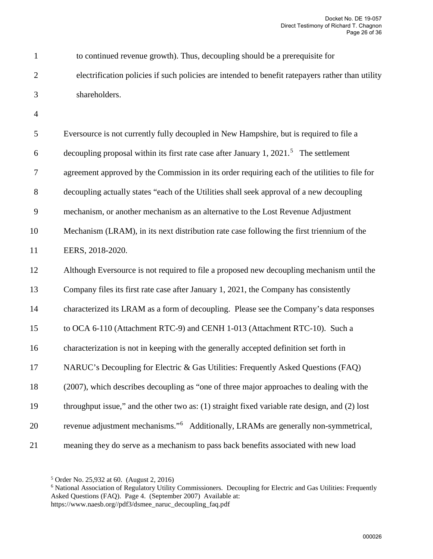1 to continued revenue growth). Thus, decoupling should be a prerequisite for 2 electrification policies if such policies are intended to benefit ratepayers rather than utility 3 shareholders.

4

| 5      | Eversource is not currently fully decoupled in New Hampshire, but is required to file a              |
|--------|------------------------------------------------------------------------------------------------------|
| 6      | decoupling proposal within its first rate case after January 1, $2021$ <sup>5</sup> . The settlement |
| $\tau$ | agreement approved by the Commission in its order requiring each of the utilities to file for        |
| $8\,$  | decoupling actually states "each of the Utilities shall seek approval of a new decoupling            |
| 9      | mechanism, or another mechanism as an alternative to the Lost Revenue Adjustment                     |
| 10     | Mechanism (LRAM), in its next distribution rate case following the first triennium of the            |
| 11     | EERS, 2018-2020.                                                                                     |
| 12     | Although Eversource is not required to file a proposed new decoupling mechanism until the            |
| 13     | Company files its first rate case after January 1, 2021, the Company has consistently                |
| 14     | characterized its LRAM as a form of decoupling. Please see the Company's data responses              |
| 15     | to OCA 6-110 (Attachment RTC-9) and CENH 1-013 (Attachment RTC-10). Such a                           |
| 16     | characterization is not in keeping with the generally accepted definition set forth in               |
| 17     | NARUC's Decoupling for Electric & Gas Utilities: Frequently Asked Questions (FAQ)                    |
| 18     | (2007), which describes decoupling as "one of three major approaches to dealing with the             |
| 19     | throughput issue," and the other two as: (1) straight fixed variable rate design, and (2) lost       |
| 20     | revenue adjustment mechanisms." <sup>6</sup> Additionally, LRAMs are generally non-symmetrical,      |
| 21     | meaning they do serve as a mechanism to pass back benefits associated with new load                  |

<span id="page-25-0"></span><sup>5</sup> Order No. 25,932 at 60. (August 2, 2016)

<span id="page-25-1"></span><sup>&</sup>lt;sup>6</sup> National Association of Regulatory Utility Commissioners. Decoupling for Electric and Gas Utilities: Frequently Asked Questions (FAQ). Page 4. (September 2007) Available at: https://www.naesb.org//pdf3/dsmee\_naruc\_decoupling\_faq.pdf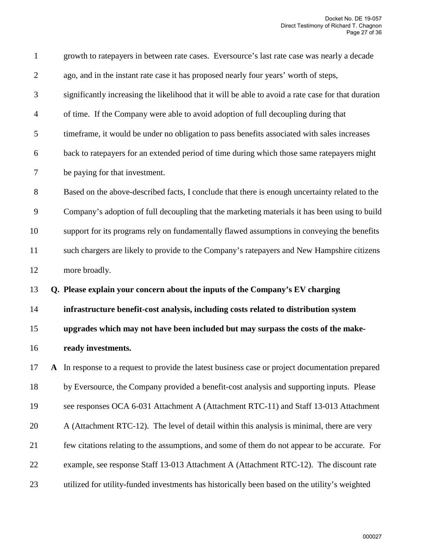| $\mathbf{1}$             | growth to ratepayers in between rate cases. Eversource's last rate case was nearly a decade         |
|--------------------------|-----------------------------------------------------------------------------------------------------|
| $\mathfrak{2}$           | ago, and in the instant rate case it has proposed nearly four years' worth of steps,                |
| 3                        | significantly increasing the likelihood that it will be able to avoid a rate case for that duration |
| $\overline{\mathcal{A}}$ | of time. If the Company were able to avoid adoption of full decoupling during that                  |
| 5                        | timeframe, it would be under no obligation to pass benefits associated with sales increases         |
| 6                        | back to ratepayers for an extended period of time during which those same ratepayers might          |
| 7                        | be paying for that investment.                                                                      |
| 8                        | Based on the above-described facts, I conclude that there is enough uncertainty related to the      |
| 9                        | Company's adoption of full decoupling that the marketing materials it has been using to build       |
| 10                       | support for its programs rely on fundamentally flawed assumptions in conveying the benefits         |
| 11                       | such chargers are likely to provide to the Company's ratepayers and New Hampshire citizens          |
|                          |                                                                                                     |
| 12                       | more broadly.                                                                                       |
| 13                       | Q. Please explain your concern about the inputs of the Company's EV charging                        |
| 14                       | infrastructure benefit-cost analysis, including costs related to distribution system                |
| 15                       | upgrades which may not have been included but may surpass the costs of the make-                    |
| 16                       | ready investments.                                                                                  |
| 17                       | A In response to a request to provide the latest business case or project documentation prepared    |
| 18                       | by Eversource, the Company provided a benefit-cost analysis and supporting inputs. Please           |
| 19                       | see responses OCA 6-031 Attachment A (Attachment RTC-11) and Staff 13-013 Attachment                |
| 20                       | A (Attachment RTC-12). The level of detail within this analysis is minimal, there are very          |
| 21                       | few citations relating to the assumptions, and some of them do not appear to be accurate. For       |
| 22                       | example, see response Staff 13-013 Attachment A (Attachment RTC-12). The discount rate              |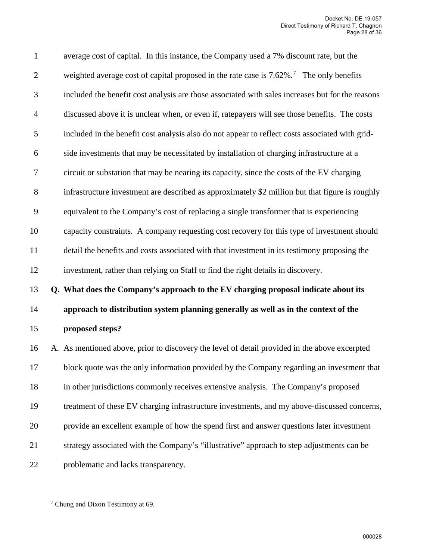| $\mathbf{1}$     | average cost of capital. In this instance, the Company used a 7% discount rate, but the                 |
|------------------|---------------------------------------------------------------------------------------------------------|
| $\overline{2}$   | weighted average cost of capital proposed in the rate case is $7.62\%$ . <sup>7</sup> The only benefits |
| 3                | included the benefit cost analysis are those associated with sales increases but for the reasons        |
| $\overline{4}$   | discussed above it is unclear when, or even if, ratepayers will see those benefits. The costs           |
| $\mathfrak s$    | included in the benefit cost analysis also do not appear to reflect costs associated with grid-         |
| $\boldsymbol{6}$ | side investments that may be necessitated by installation of charging infrastructure at a               |
| $\tau$           | circuit or substation that may be nearing its capacity, since the costs of the EV charging              |
| $8\,$            | infrastructure investment are described as approximately \$2 million but that figure is roughly         |
| 9                | equivalent to the Company's cost of replacing a single transformer that is experiencing                 |
| 10               | capacity constraints. A company requesting cost recovery for this type of investment should             |
| 11               | detail the benefits and costs associated with that investment in its testimony proposing the            |
| 12               | investment, rather than relying on Staff to find the right details in discovery.                        |
| 13               | Q. What does the Company's approach to the EV charging proposal indicate about its                      |
| 14               | approach to distribution system planning generally as well as in the context of the                     |
| 15               | proposed steps?                                                                                         |
| 16               | A. As mentioned above, prior to discovery the level of detail provided in the above excerpted           |
| 17               | block quote was the only information provided by the Company regarding an investment that               |
| 18               | in other jurisdictions commonly receives extensive analysis. The Company's proposed                     |
| 19               | treatment of these EV charging infrastructure investments, and my above-discussed concerns,             |
| 20               | provide an excellent example of how the spend first and answer questions later investment               |
| 21               | strategy associated with the Company's "illustrative" approach to step adjustments can be               |
| 22               | problematic and lacks transparency.                                                                     |

<span id="page-27-0"></span><sup>7</sup> Chung and Dixon Testimony at 69.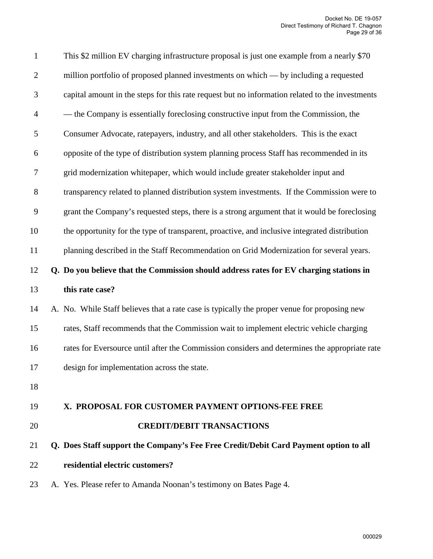| $\mathbf{1}$             | This \$2 million EV charging infrastructure proposal is just one example from a nearly \$70     |
|--------------------------|-------------------------------------------------------------------------------------------------|
| $\mathbf{2}$             | million portfolio of proposed planned investments on which — by including a requested           |
| 3                        | capital amount in the steps for this rate request but no information related to the investments |
| $\overline{\mathcal{A}}$ | — the Company is essentially foreclosing constructive input from the Commission, the            |
| 5                        | Consumer Advocate, ratepayers, industry, and all other stakeholders. This is the exact          |
| 6                        | opposite of the type of distribution system planning process Staff has recommended in its       |
| 7                        | grid modernization whitepaper, which would include greater stakeholder input and                |
| 8                        | transparency related to planned distribution system investments. If the Commission were to      |
| 9                        | grant the Company's requested steps, there is a strong argument that it would be foreclosing    |
| 10                       | the opportunity for the type of transparent, proactive, and inclusive integrated distribution   |
| 11                       | planning described in the Staff Recommendation on Grid Modernization for several years.         |
|                          |                                                                                                 |
| 12                       | Q. Do you believe that the Commission should address rates for EV charging stations in          |
| 13                       | this rate case?                                                                                 |
| 14                       | A. No. While Staff believes that a rate case is typically the proper venue for proposing new    |
| 15                       | rates, Staff recommends that the Commission wait to implement electric vehicle charging         |
| 16                       | rates for Eversource until after the Commission considers and determines the appropriate rate   |
| 17                       | design for implementation across the state.                                                     |
| 18                       |                                                                                                 |
| 19                       | X. PROPOSAL FOR CUSTOMER PAYMENT OPTIONS-FEE FREE                                               |
| 20                       | <b>CREDIT/DEBIT TRANSACTIONS</b>                                                                |
| 21                       | Q. Does Staff support the Company's Fee Free Credit/Debit Card Payment option to all            |

23 A. Yes. Please refer to Amanda Noonan's testimony on Bates Page 4.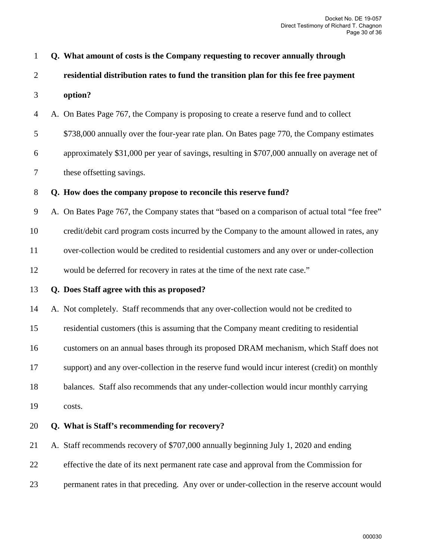| $\mathbf{1}$   | Q. What amount of costs is the Company requesting to recover annually through                   |
|----------------|-------------------------------------------------------------------------------------------------|
| $\overline{2}$ | residential distribution rates to fund the transition plan for this fee free payment            |
| 3              | option?                                                                                         |
| 4              | A. On Bates Page 767, the Company is proposing to create a reserve fund and to collect          |
| 5              | \$738,000 annually over the four-year rate plan. On Bates page 770, the Company estimates       |
| 6              | approximately \$31,000 per year of savings, resulting in \$707,000 annually on average net of   |
| $\tau$         | these offsetting savings.                                                                       |
| $8\,$          | Q. How does the company propose to reconcile this reserve fund?                                 |
| 9              | A. On Bates Page 767, the Company states that "based on a comparison of actual total "fee free" |
| 10             | credit/debit card program costs incurred by the Company to the amount allowed in rates, any     |
| 11             | over-collection would be credited to residential customers and any over or under-collection     |
| 12             | would be deferred for recovery in rates at the time of the next rate case."                     |
| 13             | Q. Does Staff agree with this as proposed?                                                      |
| 14             | A. Not completely. Staff recommends that any over-collection would not be credited to           |
| 15             | residential customers (this is assuming that the Company meant crediting to residential         |
| 16             | customers on an annual bases through its proposed DRAM mechanism, which Staff does not          |
| 17             | support) and any over-collection in the reserve fund would incur interest (credit) on monthly   |
| 18             | balances. Staff also recommends that any under-collection would incur monthly carrying          |
| 19             | costs.                                                                                          |
| 20             | Q. What is Staff's recommending for recovery?                                                   |
| 21             | A. Staff recommends recovery of \$707,000 annually beginning July 1, 2020 and ending            |
| 22             | effective the date of its next permanent rate case and approval from the Commission for         |
| 23             | permanent rates in that preceding. Any over or under-collection in the reserve account would    |

000030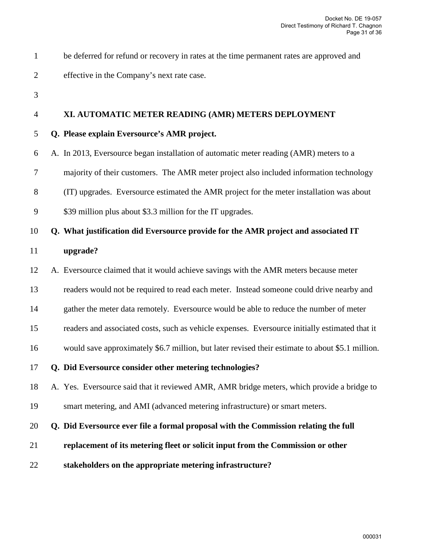| be deferred for refund or recovery in rates at the time permanent rates are approved and |
|------------------------------------------------------------------------------------------|
| effective in the Company's next rate case.                                               |

3

# 4 **XI. AUTOMATIC METER READING (AMR) METERS DEPLOYMENT**

- 5 **Q. Please explain Eversource's AMR project.**
- 6 A. In 2013, Eversource began installation of automatic meter reading (AMR) meters to a
- 7 majority of their customers. The AMR meter project also included information technology
- 8 (IT) upgrades. Eversource estimated the AMR project for the meter installation was about
- 9 \$39 million plus about \$3.3 million for the IT upgrades.

# 10 **Q. What justification did Eversource provide for the AMR project and associated IT**

- 11 **upgrade?**
- 12 A. Eversource claimed that it would achieve savings with the AMR meters because meter
- 13 readers would not be required to read each meter. Instead someone could drive nearby and
- 14 gather the meter data remotely. Eversource would be able to reduce the number of meter
- 15 readers and associated costs, such as vehicle expenses. Eversource initially estimated that it
- 16 would save approximately \$6.7 million, but later revised their estimate to about \$5.1 million.
- 17 **Q. Did Eversource consider other metering technologies?**

18 A. Yes. Eversource said that it reviewed AMR, AMR bridge meters, which provide a bridge to

19 smart metering, and AMI (advanced metering infrastructure) or smart meters.

#### 20 **Q. Did Eversource ever file a formal proposal with the Commission relating the full**

- 21 **replacement of its metering fleet or solicit input from the Commission or other**
- 22 **stakeholders on the appropriate metering infrastructure?**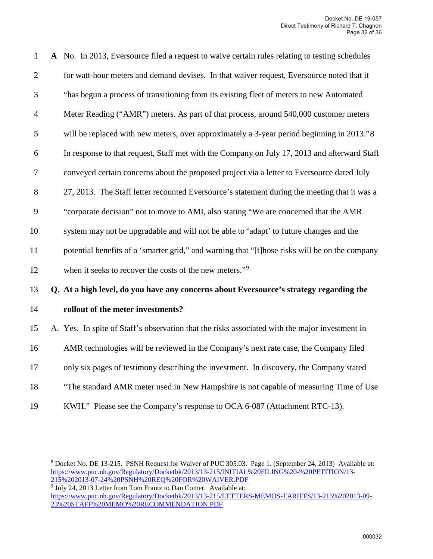| $\mathbf{1}$   | A No. In 2013, Eversource filed a request to waive certain rules relating to testing schedules |
|----------------|------------------------------------------------------------------------------------------------|
| $\overline{2}$ | for watt-hour meters and demand devises. In that waiver request, Eversource noted that it      |
| 3              | "has begun a process of transitioning from its existing fleet of meters to new Automated       |
| $\overline{4}$ | Meter Reading ("AMR") meters. As part of that process, around 540,000 customer meters          |
| 5              | will be replaced with new meters, over approximately a 3-year period beginning in 2013."8      |
| 6              | In response to that request, Staff met with the Company on July 17, 2013 and afterward Staff   |
| $\overline{7}$ | conveyed certain concerns about the proposed project via a letter to Eversource dated July     |
| 8              | 27, 2013. The Staff letter recounted Eversource's statement during the meeting that it was a   |
| 9              | "corporate decision" not to move to AMI, also stating "We are concerned that the AMR           |
| 10             | system may not be upgradable and will not be able to 'adapt' to future changes and the         |
| 11             | potential benefits of a 'smarter grid," and warning that "[t]hose risks will be on the company |
| 12             | when it seeks to recover the costs of the new meters." <sup>9</sup>                            |
| 13             | Q. At a high level, do you have any concerns about Eversource's strategy regarding the         |
| 14             | rollout of the meter investments?                                                              |
| 15             | A. Yes. In spite of Staff's observation that the risks associated with the major investment in |
| 16             | AMR technologies will be reviewed in the Company's next rate case, the Company filed           |
| 17             | only six pages of testimony describing the investment. In discovery, the Company stated        |
| 18             | "The standard AMR meter used in New Hampshire is not capable of measuring Time of Use          |
| 19             | KWH." Please see the Company's response to OCA 6-087 (Attachment RTC-13).                      |

<span id="page-31-1"></span><sup>9</sup> July 24, 2013 Letter from Tom Frantz to Dan Comer. Available at: [https://www.puc.nh.gov/Regulatory/Docketbk/2013/13-215/LETTERS-MEMOS-TARIFFS/13-215%202013-09-](https://www.puc.nh.gov/Regulatory/Docketbk/2013/13-215/LETTERS-MEMOS-TARIFFS/13-215%202013-09-23%20STAFF%20MEMO%20RECOMMENDATION.PDF) [23%20STAFF%20MEMO%20RECOMMENDATION.PDF](https://www.puc.nh.gov/Regulatory/Docketbk/2013/13-215/LETTERS-MEMOS-TARIFFS/13-215%202013-09-23%20STAFF%20MEMO%20RECOMMENDATION.PDF) 

<span id="page-31-0"></span><sup>8</sup> Docket No. DE 13-215. PSNH Request for Waiver of PUC 305.03. Page 1. (September 24, 2013) Available at: [https://www.puc.nh.gov/Regulatory/Docketbk/2013/13-215/INITIAL%20FILING%20-%20PETITION/13-](https://www.puc.nh.gov/Regulatory/Docketbk/2013/13-215/INITIAL%20FILING%20-%20PETITION/13-215%202013-07-24%20PSNH%20REQ%20FOR%20WAIVER.PDF) [215%202013-07-24%20PSNH%20REQ%20FOR%20WAIVER.PDF](https://www.puc.nh.gov/Regulatory/Docketbk/2013/13-215/INITIAL%20FILING%20-%20PETITION/13-215%202013-07-24%20PSNH%20REQ%20FOR%20WAIVER.PDF)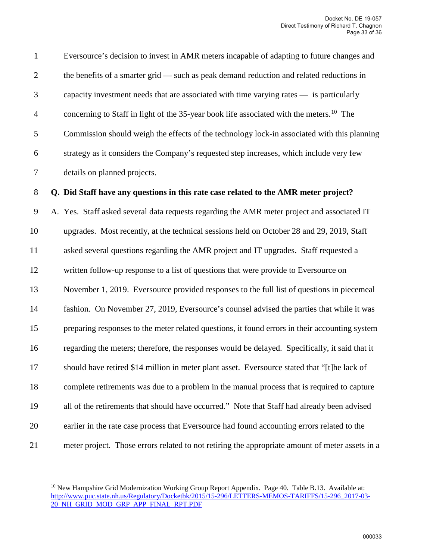1 Eversource's decision to invest in AMR meters incapable of adapting to future changes and 2 the benefits of a smarter grid — such as peak demand reduction and related reductions in 3 capacity investment needs that are associated with time varying rates — is particularly 4 concerning to Staff in light of the 35-year book life associated with the meters.<sup>10</sup> The 5 Commission should weigh the effects of the technology lock-in associated with this planning 6 strategy as it considers the Company's requested step increases, which include very few 7 details on planned projects.

#### 8 **Q. Did Staff have any questions in this rate case related to the AMR meter project?**

9 A. Yes. Staff asked several data requests regarding the AMR meter project and associated IT 10 upgrades. Most recently, at the technical sessions held on October 28 and 29, 2019, Staff 11 asked several questions regarding the AMR project and IT upgrades. Staff requested a 12 written follow-up response to a list of questions that were provide to Eversource on 13 November 1, 2019. Eversource provided responses to the full list of questions in piecemeal 14 fashion. On November 27, 2019, Eversource's counsel advised the parties that while it was 15 preparing responses to the meter related questions, it found errors in their accounting system 16 regarding the meters; therefore, the responses would be delayed. Specifically, it said that it 17 should have retired \$14 million in meter plant asset. Eversource stated that "[t]he lack of 18 complete retirements was due to a problem in the manual process that is required to capture 19 all of the retirements that should have occurred." Note that Staff had already been advised 20 earlier in the rate case process that Eversource had found accounting errors related to the 21 meter project. Those errors related to not retiring the appropriate amount of meter assets in a

<span id="page-32-0"></span><sup>&</sup>lt;sup>10</sup> New Hampshire Grid Modernization Working Group Report Appendix. Page 40. Table B.13. Available at: [http://www.puc.state.nh.us/Regulatory/Docketbk/2015/15-296/LETTERS-MEMOS-TARIFFS/15-296\\_2017-03-](http://www.puc.state.nh.us/Regulatory/Docketbk/2015/15-296/LETTERS-MEMOS-TARIFFS/15-296_2017-03-20_NH_GRID_MOD_GRP_APP_FINAL_RPT.PDF) [20\\_NH\\_GRID\\_MOD\\_GRP\\_APP\\_FINAL\\_RPT.PDF](http://www.puc.state.nh.us/Regulatory/Docketbk/2015/15-296/LETTERS-MEMOS-TARIFFS/15-296_2017-03-20_NH_GRID_MOD_GRP_APP_FINAL_RPT.PDF)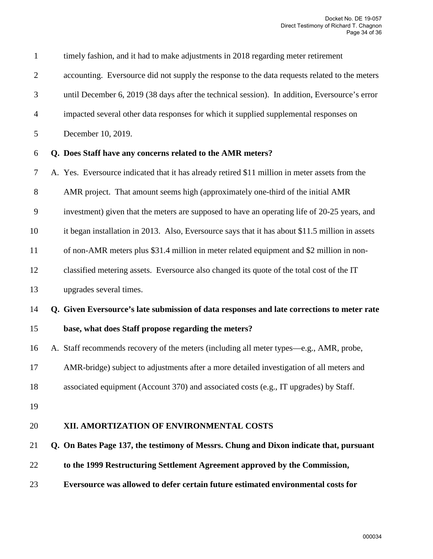| $\mathbf{1}$   | timely fashion, and it had to make adjustments in 2018 regarding meter retirement               |
|----------------|-------------------------------------------------------------------------------------------------|
| $\overline{2}$ | accounting. Eversource did not supply the response to the data requests related to the meters   |
| 3              | until December 6, 2019 (38 days after the technical session). In addition, Eversource's error   |
| $\overline{4}$ | impacted several other data responses for which it supplied supplemental responses on           |
| 5              | December 10, 2019.                                                                              |
| 6              | Q. Does Staff have any concerns related to the AMR meters?                                      |
| 7              | A. Yes. Eversource indicated that it has already retired \$11 million in meter assets from the  |
| 8              | AMR project. That amount seems high (approximately one-third of the initial AMR                 |
| 9              | investment) given that the meters are supposed to have an operating life of 20-25 years, and    |
| 10             | it began installation in 2013. Also, Eversource says that it has about \$11.5 million in assets |
| 11             | of non-AMR meters plus \$31.4 million in meter related equipment and \$2 million in non-        |
| 12             | classified metering assets. Eversource also changed its quote of the total cost of the IT       |
| 13             | upgrades several times.                                                                         |
| 14             | Q. Given Eversource's late submission of data responses and late corrections to meter rate      |
| 15             | base, what does Staff propose regarding the meters?                                             |
| 16             | A. Staff recommends recovery of the meters (including all meter types—e.g., AMR, probe,         |
| 17             | AMR-bridge) subject to adjustments after a more detailed investigation of all meters and        |
| 18             | associated equipment (Account 370) and associated costs (e.g., IT upgrades) by Staff.           |
| 19             |                                                                                                 |
| 20             | XII. AMORTIZATION OF ENVIRONMENTAL COSTS                                                        |
| 21             | Q. On Bates Page 137, the testimony of Messrs. Chung and Dixon indicate that, pursuant          |
| 22             | to the 1999 Restructuring Settlement Agreement approved by the Commission,                      |
| 23             | Eversource was allowed to defer certain future estimated environmental costs for                |
|                |                                                                                                 |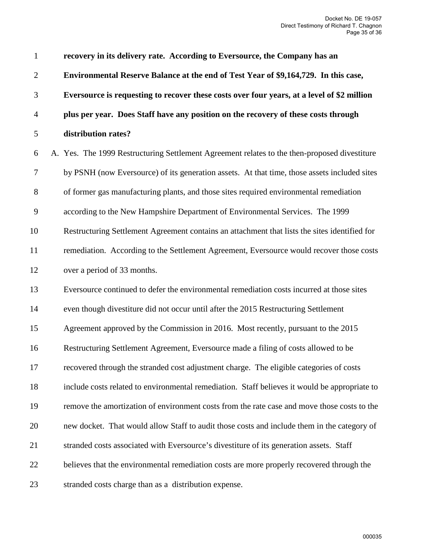1 **recovery in its delivery rate. According to Eversource, the Company has an**  2 **Environmental Reserve Balance at the end of Test Year of \$9,164,729. In this case,**  3 **Eversource is requesting to recover these costs over four years, at a level of \$2 million** 4 **plus per year. Does Staff have any position on the recovery of these costs through**  5 **distribution rates?** 6 A. Yes. The 1999 Restructuring Settlement Agreement relates to the then-proposed divestiture 7 by PSNH (now Eversource) of its generation assets. At that time, those assets included sites 8 of former gas manufacturing plants, and those sites required environmental remediation 9 according to the New Hampshire Department of Environmental Services. The 1999 10 Restructuring Settlement Agreement contains an attachment that lists the sites identified for 11 remediation. According to the Settlement Agreement, Eversource would recover those costs 12 over a period of 33 months. 13 Eversource continued to defer the environmental remediation costs incurred at those sites 14 even though divestiture did not occur until after the 2015 Restructuring Settlement 15 Agreement approved by the Commission in 2016. Most recently, pursuant to the 2015 16 Restructuring Settlement Agreement, Eversource made a filing of costs allowed to be 17 recovered through the stranded cost adjustment charge. The eligible categories of costs 18 include costs related to environmental remediation. Staff believes it would be appropriate to 19 remove the amortization of environment costs from the rate case and move those costs to the 20 new docket. That would allow Staff to audit those costs and include them in the category of 21 stranded costs associated with Eversource's divestiture of its generation assets. Staff 22 believes that the environmental remediation costs are more properly recovered through the 23 stranded costs charge than as a distribution expense.